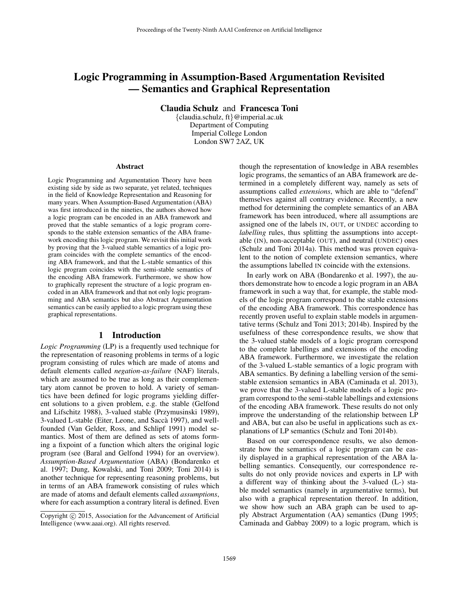# Logic Programming in Assumption-Based Argumentation Revisited — Semantics and Graphical Representation

Claudia Schulz and Francesca Toni

{claudia.schulz, ft}@imperial.ac.uk Department of Computing Imperial College London London SW7 2AZ, UK

#### Abstract

Logic Programming and Argumentation Theory have been existing side by side as two separate, yet related, techniques in the field of Knowledge Representation and Reasoning for many years. When Assumption-Based Argumentation (ABA) was first introduced in the nineties, the authors showed how a logic program can be encoded in an ABA framework and proved that the stable semantics of a logic program corresponds to the stable extension semantics of the ABA framework encoding this logic program. We revisit this initial work by proving that the 3-valued stable semantics of a logic program coincides with the complete semantics of the encoding ABA framework, and that the L-stable semantics of this logic program coincides with the semi-stable semantics of the encoding ABA framework. Furthermore, we show how to graphically represent the structure of a logic program encoded in an ABA framework and that not only logic programming and ABA semantics but also Abstract Argumentation semantics can be easily applied to a logic program using these graphical representations.

# 1 Introduction

*Logic Programming* (LP) is a frequently used technique for the representation of reasoning problems in terms of a logic program consisting of rules which are made of atoms and default elements called *negation-as-failure* (NAF) literals, which are assumed to be true as long as their complementary atom cannot be proven to hold. A variety of semantics have been defined for logic programs yielding different solutions to a given problem, e.g. the stable (Gelfond and Lifschitz 1988), 3-valued stable (Przymusinski 1989), 3-valued L-stable (Eiter, Leone, and Sacca 1997), and well- ` founded (Van Gelder, Ross, and Schlipf 1991) model semantics. Most of them are defined as sets of atoms forming a fixpoint of a function which alters the original logic program (see (Baral and Gelfond 1994) for an overview). *Assumption-Based Argumentation* (ABA) (Bondarenko et al. 1997; Dung, Kowalski, and Toni 2009; Toni 2014) is another technique for representing reasoning problems, but in terms of an ABA framework consisting of rules which are made of atoms and default elements called *assumptions*, where for each assumption a contrary literal is defined. Even

though the representation of knowledge in ABA resembles logic programs, the semantics of an ABA framework are determined in a completely different way, namely as sets of assumptions called *extensions*, which are able to "defend" themselves against all contrary evidence. Recently, a new method for determining the complete semantics of an ABA framework has been introduced, where all assumptions are assigned one of the labels IN, OUT, or UNDEC according to *labelling* rules, thus splitting the assumptions into acceptable (IN), non-acceptable (OUT), and neutral (UNDEC) ones (Schulz and Toni 2014a). This method was proven equivalent to the notion of complete extension semantics, where the assumptions labelled IN coincide with the extensions.

In early work on ABA (Bondarenko et al. 1997), the authors demonstrate how to encode a logic program in an ABA framework in such a way that, for example, the stable models of the logic program correspond to the stable extensions of the encoding ABA framework. This correspondence has recently proven useful to explain stable models in argumentative terms (Schulz and Toni 2013; 2014b). Inspired by the usefulness of these correspondence results, we show that the 3-valued stable models of a logic program correspond to the complete labellings and extensions of the encoding ABA framework. Furthermore, we investigate the relation of the 3-valued L-stable semantics of a logic program with ABA semantics. By defining a labelling version of the semistable extension semantics in ABA (Caminada et al. 2013), we prove that the 3-valued L-stable models of a logic program correspond to the semi-stable labellings and extensions of the encoding ABA framework. These results do not only improve the understanding of the relationship between LP and ABA, but can also be useful in applications such as explanations of LP semantics (Schulz and Toni 2014b).

Based on our correspondence results, we also demonstrate how the semantics of a logic program can be easily displayed in a graphical representation of the ABA labelling semantics. Consequently, our correspondence results do not only provide novices and experts in LP with a different way of thinking about the 3-valued (L-) stable model semantics (namely in argumentative terms), but also with a graphical representation thereof. In addition, we show how such an ABA graph can be used to apply Abstract Argumentation (AA) semantics (Dung 1995; Caminada and Gabbay 2009) to a logic program, which is

Copyright (c) 2015, Association for the Advancement of Artificial Intelligence (www.aaai.org). All rights reserved.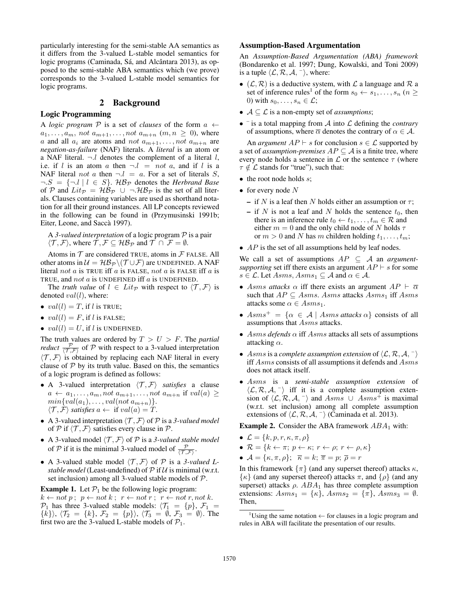particularly interesting for the semi-stable AA semantics as it differs from the 3-valued L-stable model semantics for logic programs (Caminada, Sá, and Alcântara 2013), as opposed to the semi-stable ABA semantics which (we prove) corresponds to the 3-valued L-stable model semantics for logic programs.

# 2 Background

## Logic Programming

A *logic program*  $P$  is a set of *clauses* of the form  $a \leftarrow$  $a_1, \ldots, a_m$ , not  $a_{m+1}, \ldots, not \ a_{m+n}$   $(m, n \geq 0)$ , where a and all  $a_i$  are atoms and not  $a_{m+1}, \ldots, not \ a_{m+n}$  are *negation-as-failure* (NAF) literals. A *literal* is an atom or a NAF literal.  $\neg l$  denotes the complement of a literal l, i.e. if l is an atom a then  $\neg l = not a$ , and if l is a NAF literal not a then  $\neg l = a$ . For a set of literals S,  $\neg S = \{\neg l \mid l \in S\}$ .  $\mathcal{HB}_{\mathcal{P}}$  denotes the *Herbrand Base* of P and  $Lit_{\mathcal{P}} = \mathcal{HB}_{\mathcal{P}} \cup \neg \mathcal{HB}_{\mathcal{P}}$  is the set of all literals. Clauses containing variables are used as shorthand notation for all their ground instances. All LP concepts reviewed in the following can be found in (Przymusinski 1991b; Eiter, Leone, and Saccà 1997).

A *3-valued interpretation* of a logic program P is a pair  $\langle \mathcal{T}, \mathcal{F} \rangle$ , where  $\mathcal{T}, \mathcal{F} \subseteq \mathcal{HB}_{\mathcal{P}}$  and  $\mathcal{T} \cap \mathcal{F} = \emptyset$ .

Atoms in  $T$  are considered TRUE, atoms in  $F$  FALSE. All other atoms in  $\mathcal{U} = \mathcal{HB}_{\mathcal{P}} \setminus (\mathcal{T} \cup \mathcal{F})$  are UNDEFINED. A NAF literal not  $a$  is TRUE iff  $a$  is FALSE, not  $a$  is FALSE iff  $a$  is TRUE, and not a is UNDEFINED iff a is UNDEFINED.

The *truth value* of  $l \in Lit_{\mathcal{P}}$  with respect to  $\langle \mathcal{T}, \mathcal{F} \rangle$  is denoted  $val(l)$ , where:

- $val(l) = T$ , if l is TRUE;
- $val(l) = F$ , if l is FALSE;
- $val(l) = U$ , if l is UNDEFINED.

The truth values are ordered by  $T > U > F$ . The *partial reduct*  $\frac{\mathcal{P}}{\langle \mathcal{T},\mathcal{F}\rangle}$  of  $\mathcal{P}$  with respect to a 3-valued interpretation  $\langle \mathcal{T}, \mathcal{F} \rangle$  is obtained by replacing each NAF literal in every clause of  $P$  by its truth value. Based on this, the semantics of a logic program is defined as follows:

- A 3-valued interpretation  $\langle \mathcal{T}, \mathcal{F} \rangle$  *satisfies* a clause  $a \leftarrow a_1, \ldots, a_m, not \ a_{m+1}, \ldots, not \ a_{m+n}$  if  $val(a) \geq$  $min\{val(a_1), \ldots, val(not\ a_{m+n})\}.$  $\langle \mathcal{T}, \mathcal{F} \rangle$  *satisfies*  $a \leftarrow \text{ if } val(a) = T$ .
- A 3-valued interpretation  $\langle \mathcal{T}, \mathcal{F} \rangle$  of P is a 3-valued model of P if  $\langle T, \mathcal{F} \rangle$  satisfies every clause in P.
- A 3-valued model  $\langle T, \mathcal{F} \rangle$  of  $\mathcal P$  is a *3-valued stable model* of P if it is the minimal 3-valued model of  $\frac{P}{\langle T,\mathcal{F}\rangle}$ .
- A 3-valued stable model  $\langle \mathcal{T}, \mathcal{F} \rangle$  of P is a 3-valued L*stable model* (Least-undefined) of  $P$  if  $U$  is minimal (w.r.t. set inclusion) among all 3-valued stable models of P.

**Example 1.** Let  $\mathcal{P}_1$  be the following logic program:  $k \leftarrow not p$ ;  $p \leftarrow not k$ ;  $r \leftarrow not r$ ;  $r \leftarrow not r, not k$ .  $\mathcal{P}_1$  has three 3-valued stable models:  $\langle \mathcal{T}_1 = \{p\}, \mathcal{F}_1 =$  $\{\{k\}\},\ \{\mathcal{T}_2 = \{k\},\ \mathcal{F}_2 = \{p\}\},\ \langle \mathcal{T}_3 = \emptyset, \ \mathcal{F}_3 = \emptyset\rangle.$  The first two are the 3-valued L-stable models of  $P_1$ .

## Assumption-Based Argumentation

An *Assumption-Based Argumentation (ABA) framework* (Bondarenko et al. 1997; Dung, Kowalski, and Toni 2009) is a tuple  $\langle \mathcal{L}, \mathcal{R}, \mathcal{A}, \neg \rangle$ , where:

- $(\mathcal{L}, \mathcal{R})$  is a deductive system, with  $\mathcal L$  a language and  $\mathcal R$  a set of inference rules<sup>1</sup> of the form  $s_0 \leftarrow s_1, \ldots, s_n$  ( $n \geq$ 0) with  $s_0, \ldots, s_n \in \mathcal{L}$ ;
- $A \subseteq \mathcal{L}$  is a non-empty set of *assumptions*;
- $\bullet$  <sup>-</sup> is a total mapping from A into L defining the *contrary* of assumptions, where  $\overline{\alpha}$  denotes the contrary of  $\alpha \in \mathcal{A}$ .

An *argument*  $AP \vdash s$  for conclusion  $s \in \mathcal{L}$  supported by a set of *assumption-premises*  $AP \subseteq A$  is a finite tree, where every node holds a sentence in  $\mathcal L$  or the sentence  $\tau$  (where  $\tau \notin \mathcal{L}$  stands for "true"), such that:

- $\bullet$  the root node holds s;
- for every node  $N$ 
	- if N is a leaf then N holds either an assumption or  $\tau$ ;
	- if N is not a leaf and N holds the sentence  $t_0$ , then there is an inference rule  $t_0 \leftarrow t_1, \ldots, t_m \in \mathcal{R}$  and either  $m = 0$  and the only child node of N holds  $\tau$ or  $m > 0$  and N has m children holding  $t_1, \ldots, t_m$ ;
- $AP$  is the set of all assumptions held by leaf nodes.

We call a set of assumptions  $AP \subseteq A$  an *argumentsupporting* set iff there exists an argument  $AP \vdash s$  for some  $s \in \mathcal{L}$ . Let  $Assms, Assns_1 \subseteq \mathcal{A}$  and  $\alpha \in \mathcal{A}$ .

- Asms attacks  $\alpha$  iff there exists an argument  $AP \vdash \overline{\alpha}$ such that  $AP \subseteq Asms$ . Asms attacks  $Asms_1$  iff  $Asms$ attacks some  $\alpha \in \text{Asms}_1$ .
- $Asms^+ = \{ \alpha \in A \mid Asms \text{ attacks } \alpha \}$  consists of all assumptions that Asms attacks.
- $Asms$  *defends*  $\alpha$  iff  $Asms$  attacks all sets of assumptions attacking  $\alpha$ .
- Asms is a *complete assumption extension* of  $\langle \mathcal{L}, \mathcal{R}, \mathcal{A}, \neg \rangle$ iff Asms consists of all assumptions it defends and Asms does not attack itself.
- Asms is a *semi-stable assumption extension* of  $\langle \mathcal{L}, \mathcal{R}, \mathcal{A}, \neg \rangle$  iff it is a complete assumption extension of  $\langle \mathcal{L}, \mathcal{R}, \mathcal{A}, \overline{\ } \rangle$  and  $\overline{Asms}$  ∪  $\overline{Asms}$  is maximal (w.r.t. set inclusion) among all complete assumption extensions of  $\langle \mathcal{L}, \mathcal{R}, \mathcal{A}, \neg \rangle$  (Caminada et al. 2013).

**Example 2.** Consider the ABA framework  $ABA_1$  with:

- $\mathcal{L} = \{k, p, r, \kappa, \pi, \rho\}$
- $\mathcal{R} = \{k \leftarrow \pi; p \leftarrow \kappa; r \leftarrow \rho; r \leftarrow \rho, \kappa\}$
- $\mathcal{A} = \{\kappa, \pi, \rho\}; \overline{\kappa} = k; \overline{\pi} = p; \overline{\rho} = r$

In this framework  $\{\pi\}$  (and any superset thereof) attacks  $\kappa$ ,  $\{\kappa\}$  (and any superset thereof) attacks  $\pi$ , and  $\{\rho\}$  (and any superset) attacks  $\rho$ .  $ABA_1$  has three complete assumption extensions:  $Asms_1 = \{\kappa\}, Asms_2 = \{\pi\}, Asms_3 = \emptyset.$ Then,

<sup>&</sup>lt;sup>1</sup>Using the same notation  $\leftarrow$  for clauses in a logic program and rules in ABA will facilitate the presentation of our results.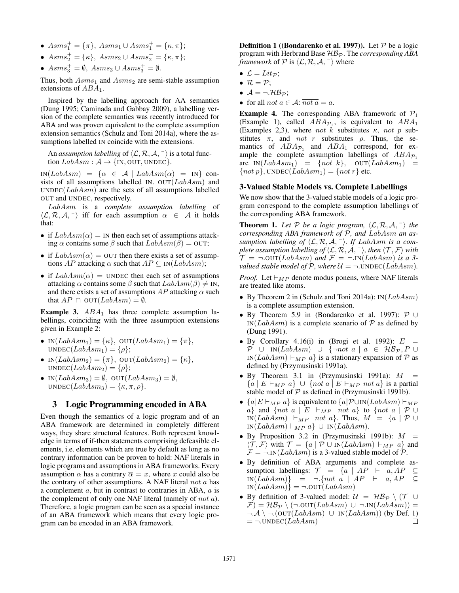- $Asms_1^+ = {\pi}$ ,  $Asms_1 \cup Asms_1^+ = {\kappa, \pi}$ ;
- $Asms_2^+ = {\kappa}$ ,  $Asms_2 \cup Asms_2^+ = {\kappa, \pi}$ ;
- $Asms_3^+ = \emptyset$ ,  $Asms_3 \cup Asms_3^+ = \emptyset$ .

Thus, both  $Asms_1$  and  $Asms_2$  are semi-stable assumption extensions of  $ABA_1$ .

Inspired by the labelling approach for AA semantics (Dung 1995; Caminada and Gabbay 2009), a labelling version of the complete semantics was recently introduced for ABA and was proven equivalent to the complete assumption extension semantics (Schulz and Toni 2014a), where the assumptions labelled IN coincide with the extensions.

An *assumption labelling* of  $\langle \mathcal{L}, \mathcal{R}, \mathcal{A}, \neg \rangle$  is a total function  $LabAsm : \mathcal{A} \rightarrow \{IN, OUT, UNDEC\}.$ 

 $IN(LabAsm) = {\alpha \in \mathcal{A} | LabAsm(\alpha) = IN}$  consists of all assumptions labelled IN. OUT( $LabAsm$ ) and  $UNDEC(LabAsm)$  are the sets of all assumptions labelled OUT and UNDEC, respectively.

LabAsm is a *complete assumption labelling* of  $\langle \mathcal{L}, \mathcal{R}, \mathcal{A}, \neg \rangle$  iff for each assumption  $\alpha \in \mathcal{A}$  it holds that:

- if  $LabAsm(\alpha) = \text{IN}$  then each set of assumptions attacking  $\alpha$  contains some  $\beta$  such that  $LabAsm(\beta) =$  OUT;
- if  $LabAsm(\alpha) =$  OUT then there exists a set of assumptions AP attacking  $\alpha$  such that  $AP \subseteq IN(LabAsm);$
- if  $LabAsm(\alpha) =$  UNDEC then each set of assumptions attacking  $\alpha$  contains some  $\beta$  such that  $LabAsm(\beta) \neq \text{IN}$ , and there exists a set of assumptions  $AP$  attacking  $\alpha$  such that  $AP \cap$  OUT( $LabAsm$ ) =  $\emptyset$ .

**Example 3.**  $ABA_1$  has three complete assumption labellings, coinciding with the three assumption extensions given in Example 2:

- IN $(LabAsm_1) = {\kappa}$ , OUT $(LabAsm_1) = {\pi}$ ,  $UNDEC(LabAsm<sub>1</sub>) = {\rho};$
- IN $(LabAsm_2) = {\pi}$ , OUT $(LabAsm_2) = {\kappa}$ ,  $UNDEC(LabAsm<sub>2</sub>) = {\rho};$
- IN $(LabAsm_3) = \emptyset$ , OUT $(LabAsm_3) = \emptyset$ , UNDEC( $LabAsm_3$ ) = { $\kappa, \pi, \rho$  }.

# 3 Logic Programming encoded in ABA

Even though the semantics of a logic program and of an ABA framework are determined in completely different ways, they share structural features. Both represent knowledge in terms of if-then statements comprising defeasible elements, i.e. elements which are true by default as long as no contrary information can be proven to hold: NAF literals in logic programs and assumptions in ABA frameworks. Every assumption  $\alpha$  has a contrary  $\overline{\alpha} = x$ , where x could also be the contrary of other assumptions. A NAF literal  $not a$  has a complement a, but in contrast to contraries in ABA, a is the complement of only one NAF literal (namely of not a). Therefore, a logic program can be seen as a special instance of an ABA framework which means that every logic program can be encoded in an ABA framework.

**Definition 1 ((Bondarenko et al. 1997)).** Let  $P$  be a logic program with Herbrand Base  $\mathcal{HB}_{\mathcal{P}}$ . The *corresponding ABA framework* of  $P$  is  $\langle \mathcal{L}, \mathcal{R}, \mathcal{A}, \neg \rangle$  where

- $\mathcal{L} = Lit_{\mathcal{P}};$
- $\mathcal{R} = \mathcal{P}$ ;
- $A = \neg \mathcal{HB}_{\mathcal{P}}$ ;
- for all not  $a \in \mathcal{A}$ :  $\overline{not a} = a$ .

**Example 4.** The corresponding ABA framework of  $P_1$ (Example 1), called  $ABA_{\mathcal{P}_1}$ , is equivalent to  $ABA_1$ (Examples 2,3), where not k substitutes  $\kappa$ , not p substitutes  $\pi$ , and *not* r substitutes  $\rho$ . Thus, the semantics of  $ABA_{\mathcal{P}_1}$  and  $ABA_1$  correspond, for example the complete assumption labellings of  $ABA_{\mathcal{P}_1}$ are  $IN(LabAsm_1) = \{not \ k\}, \quad OUT(LabAsm_1) =$  $\{not\ p\}$ , UNDEC( $LabAsm_1$ ) =  $\{not\ r\}$  etc.

#### 3-Valued Stable Models vs. Complete Labellings

We now show that the 3-valued stable models of a logic program correspond to the complete assumption labellings of the corresponding ABA framework.

**Theorem 1.** Let P be a logic program,  $\langle \mathcal{L}, \mathcal{R}, \mathcal{A}, \neg \rangle$  the *corresponding ABA framework of* P*, and* LabAsm *an assumption labelling of*  $\langle \mathcal{L}, \mathcal{R}, \mathcal{A}, \cdot \rangle$ *. If LabAsm is a complete assumption labelling of*  $\langle \mathcal{L}, \mathcal{R}, \mathcal{A}, \neg \rangle$ *, then*  $\langle \mathcal{T}, \mathcal{F} \rangle$  *with*  $\mathcal{T} = \neg .\text{OUT}(LabAsm)$  and  $\mathcal{F} = \neg .\text{IN}(LabAsm)$  is a 3*valued stable model of*  $P$ *, where*  $U = \neg$ *.* UNDEC( $LabAsm$ )*.* 

*Proof.* Let  $\vdash_{MP}$  denote modus ponens, where NAF literals are treated like atoms.

- By Theorem 2 in (Schulz and Toni 2014a):  $IN(LabAsm)$ is a complete assumption extension.
- By Theorem 5.9 in (Bondarenko et al. 1997): P ∪  $IN(LabAsm)$  is a complete scenario of  $P$  as defined by (Dung 1991).
- By Corollary 4.16(i) in (Brogi et al. 1992):  $E =$  $\mathcal{P}$  ∪ IN(LabAsm) ∪ {¬not a | a ∈  $\mathcal{HB}_{\mathcal{P}}$ , P ∪ IN(LabAsm)  $\vdash_{MP} a$  is a stationary expansion of P as defined by (Przymusinski 1991a).
- By Theorem 3.1 in (Przymusinski 1991a):  $M =$  ${a | E \vdash_{MP} a} \cup {not a | E \vdash_{MP} not a}$  is a partial stable model of  $P$  as defined in (Przymusinski 1991b).
- $\{a | E \vdash_{MP} a\}$  is equivalent to  $\{a | \mathcal{P} \cup \text{IN}(LabAsm) \vdash_{MP} a\}$ a} and {not a | E  $\vdash_{MP}$  not a} to {not a | P ∪ IN(LabAsm)  $\vdash_{MP}$  not a}. Thus,  $M = \{a \mid P \cup$  $IN(LabAsm) \vdash_{MP} a \} \cup IN(LabAsm).$
- By Proposition 3.2 in (Przymusinski 1991b):  $M =$  $\langle \mathcal{T}, \mathcal{F} \rangle$  with  $\mathcal{T} = \{a \mid \mathcal{P} \cup \text{IN}(LabAsm) \vdash_{MP} a\}$  and  $\mathcal{F} = \neg \text{IN}(LabAsm)$  is a 3-valued stable model of  $\mathcal{P}$ .
- By definition of ABA arguments and complete assumption labellings:  $\mathcal{T} = \{a \mid AP \vdash a, AP \subseteq \}$  $IN(LabAsm)$ } = ¬.{not a | AP  $\vdash$  a, AP  $\subseteq$  $IN(LabAsm)$  =  $\neg .$ OUT $(LabAsm)$
- By definition of 3-valued model:  $\mathcal{U} = \mathcal{HB}_{\mathcal{P}} \setminus (\mathcal{T} \cup$  $\mathcal{F}$ ) =  $\mathcal{HB}_{\mathcal{P}} \setminus (\neg .\text{OUT}(LabAsm) \cup \neg .\text{IN}(LabAsm)) =$  $\neg A \setminus \neg.(\text{OUT}(LabAsm) \cup \text{IN}(LabAsm))$  (by Def. 1)  $= \neg$ .UNDEC(*LabAsm*)  $\Box$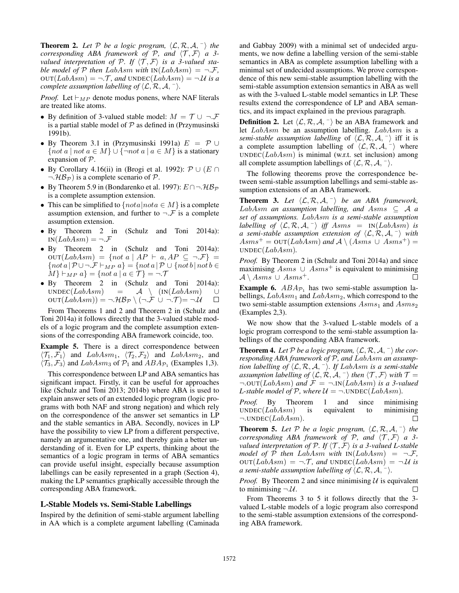**Theorem 2.** Let P be a logic program,  $\langle \mathcal{L}, \mathcal{R}, \mathcal{A}, \neg \rangle$  the *corresponding ABA framework of P, and*  $\langle T, \mathcal{F} \rangle$  *a 3valued interpretation of P. If*  $\langle \mathcal{T}, \mathcal{F} \rangle$  *is a 3-valued stable model of*  $P$  *then*  $LabAsm$  *with*  $IN(LabAsm) = \neg \mathcal{F}$ ,  $\text{OUT}(LabAsm) = \neg \text{.} \mathcal{T}$ , and  $\text{UNDEC}(LabAsm) = \neg \text{.} \mathcal{U}$  is a *complete assumption labelling of*  $\langle \mathcal{L}, \mathcal{R}, \mathcal{A}, \neg \rangle$ *.* 

*Proof.* Let  $\vdash_{MP}$  denote modus ponens, where NAF literals are treated like atoms.

- By definition of 3-valued stable model:  $M = \mathcal{T} \cup \neg \mathcal{F}$ is a partial stable model of  $P$  as defined in (Przymusinski 1991b).
- By Theorem 3.1 in (Przymusinski 1991a)  $E = \mathcal{P} \cup$ {not a | not  $a \in M$ }  $\cup$  {¬not  $a \mid a \in M$ } is a stationary expansion of P.
- By Corollary 4.16(ii) in (Brogi et al. 1992):  $\mathcal{P} \cup (E \cap E)$  $\neg$  HB<sub>P</sub>) is a complete scenario of P.
- By Theorem 5.9 in (Bondarenko et al. 1997):  $E \cap \neg \mathcal{HB}_{\mathcal{P}}$ is a complete assumption extension.
- This can be simplified to  $\{nota|nota \in M\}$  is a complete assumption extension, and further to  $\neg \mathcal{F}$  is a complete assumption extension.
- By Theorem 2 in (Schulz and Toni 2014a):  $IN(LabAsm) = \neg \mathcal{F}$
- By Theorem 2 in (Schulz and Toni 2014a):  $\text{OUT}(LabAsm) = \{not \ a \mid AP \vdash a, AP \subseteq \neg.\mathcal{F}\} =$  $\{not \ a \, | \, \mathcal{P} \cup \neg \mathcal{F} \vdash_{MP} a \} = \{not \ a \, | \, \mathcal{P} \cup \{not \ a \, | \, \mathcal{P} \cup \{not \ a \} \}$  $M \vdash_{MP} a$  = {not a |  $a \in \mathcal{T}$ } =  $\neg \mathcal{T}$
- By Theorem 2 in (Schulz and Toni 2014a): UNDEC( $LabAsm$ ) =  $\mathcal{A}$  \ (IN( $LabAsm$ ) ∪  $\text{OUT}(LabAsm)) = \neg \mathcal{HB}_{\mathcal{P}} \setminus (\neg \mathcal{F} \cup \neg \mathcal{T}) = \neg \mathcal{U}$  $\Box$

From Theorems 1 and 2 and Theorem 2 in (Schulz and Toni 2014a) it follows directly that the 3-valued stable models of a logic program and the complete assumption extensions of the corresponding ABA framework coincide, too.

Example 5. There is a direct correspondence between  $\langle \mathcal{T}_1, \mathcal{F}_1 \rangle$  and  $LabAsm_1$ ,  $\langle \mathcal{T}_2, \mathcal{F}_2 \rangle$  and  $LabAsm_2$ , and  $\langle T_3, F_3 \rangle$  and  $LabAsm_3$  of  $P_1$  and  $ABA_{\mathcal{P}_1}$  (Examples 1,3).

This correspondence between LP and ABA semantics has significant impact. Firstly, it can be useful for approaches like (Schulz and Toni 2013; 2014b) where ABA is used to explain answer sets of an extended logic program (logic programs with both NAF and strong negation) and which rely on the correspondence of the answer set semantics in LP and the stable semantics in ABA. Secondly, novices in LP have the possibility to view LP from a different perspective, namely an argumentative one, and thereby gain a better understanding of it. Even for LP experts, thinking about the semantics of a logic program in terms of ABA semantics can provide useful insight, especially because assumption labellings can be easily represented in a graph (Section 4), making the LP semantics graphically accessible through the corresponding ABA framework.

#### L-Stable Models vs. Semi-Stable Labellings

Inspired by the definition of semi-stable argument labelling in AA which is a complete argument labelling (Caminada

and Gabbay 2009) with a minimal set of undecided arguments, we now define a labelling version of the semi-stable semantics in ABA as complete assumption labelling with a minimal set of undecided assumptions. We prove correspondence of this new semi-stable assumption labelling with the semi-stable assumption extension semantics in ABA as well as with the 3-valued L-stable model semantics in LP. These results extend the correspondence of LP and ABA semantics, and its impact explained in the previous paragraph.

**Definition 2.** Let  $\langle \mathcal{L}, \mathcal{R}, \mathcal{A}, \cdot \rangle$  be an ABA framework and let LabAsm be an assumption labelling. LabAsm is a *semi-stable assumption labelling* of  $\langle \mathcal{L}, \mathcal{R}, \mathcal{A}, \cdot \rangle$  iff it is a complete assumption labelling of  $\langle \mathcal{L}, \mathcal{R}, \mathcal{A}, \neg \rangle$  where  $UNDEC(LabAsm)$  is minimal (w.r.t. set inclusion) among all complete assumption labellings of  $\langle \mathcal{L}, \mathcal{R}, \mathcal{A}, \neg \rangle$ .

The following theorems prove the correspondence between semi-stable assumption labellings and semi-stable assumption extensions of an ABA framework.

**Theorem 3.** Let  $\langle \mathcal{L}, \mathcal{R}, \mathcal{A}, \cdot \rangle$  be an ABA framework,  $LabAsm$  *an assumption labelling, and Asms*  $\subseteq$  *A a set of assumptions.* LabAsm *is a semi-stable assumption labelling of*  $\langle \mathcal{L}, \mathcal{R}, \mathcal{A}, \cdot \rangle$  *iff* Asms = IN(LabAsm) *is a* semi-stable assumption extension of  $\langle \mathcal{L}, \mathcal{R}, \mathcal{A}, \neg \rangle$  with  $Asms^+ = \text{OUT}(LabAsm)$  and  $\mathcal{A} \setminus (Asms \cup Asms^+) =$ UNDEC(LabAsm)*.*

*Proof.* By Theorem 2 in (Schulz and Toni 2014a) and since maximising  $Asms \cup Asms^+$  is equivalent to minimising  $\mathcal{A}\setminus \mathit{Asms}\,\cup\,\mathit{Asms}^+.$ 

**Example 6.**  $ABA_{\mathcal{P}_1}$  has two semi-stable assumption labellings,  $LabAsm_1$  and  $LabAsm_2$ , which correspond to the two semi-stable assumption extensions  $Asms<sub>1</sub>$  and  $Asms<sub>2</sub>$ (Examples 2,3).

We now show that the 3-valued L-stable models of a logic program correspond to the semi-stable assumption labellings of the corresponding ABA framework.

**Theorem 4.** Let P be a logic program,  $\langle \mathcal{L}, \mathcal{R}, \mathcal{A}, \neg \rangle$  the cor*responding ABA framework of* P*, and* LabAsm *an assumption labelling of*  $\langle \mathcal{L}, \mathcal{R}, \mathcal{A}, \neg \rangle$ *. If LabAsm is a semi-stable assumption labelling of*  $\langle \mathcal{L}, \mathcal{R}, \mathcal{A}, \neg \rangle$  *then*  $\langle \mathcal{T}, \mathcal{F} \rangle$  *with*  $\mathcal{T} =$  $\neg$ .OUT(*LabAsm*) and  $\mathcal{F} = \neg$ .IN(*LabAsm*) *is a 3-valued L*-stable model of  $P$ , where  $U = \neg$ .UNDEC(LabAsm).

*Proof.* By Theorem 1 and since minimising  $UNDEC(LabAsm)$  is equivalent to minimising  $\neg$ .UNDEC(*LabAsm*).  $\Box$ 

**Theorem 5.** Let P be a logic program,  $\langle \mathcal{L}, \mathcal{R}, \mathcal{A}, \cdot \rangle$  the *corresponding ABA framework of P, and*  $\langle T, \mathcal{F} \rangle$  *a 3valued interpretation of*  $P$ *. If*  $\langle T, \mathcal{F} \rangle$  *is a 3-valued L-stable model of*  $P$  *then* LabAsm with  $IN(LabAsm) = \neg \mathcal{F}$ ,  $\text{OUT}(LabAsm) = \neg \mathcal{F}$ , and  $\text{UNDEC}(LabAsm) = \neg \mathcal{U}$  is *a semi-stable assumption labelling of*  $\langle \mathcal{L}, \mathcal{R}, \mathcal{A}, \neg \rangle$ *.* 

*Proof.* By Theorem 2 and since minimising  $U$  is equivalent to minimising  $\neg \mathcal{U}$ .  $\Box$ 

From Theorems 3 to 5 it follows directly that the 3 valued L-stable models of a logic program also correspond to the semi-stable assumption extensions of the corresponding ABA framework.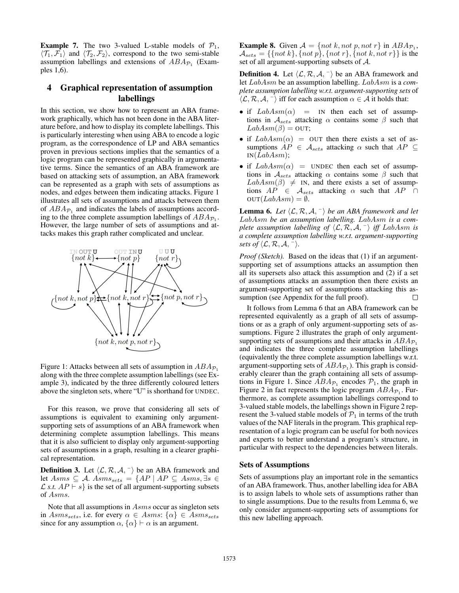**Example 7.** The two 3-valued L-stable models of  $P_1$ ,  $\langle \mathcal{T}_1, \mathcal{F}_1 \rangle$  and  $\langle \mathcal{T}_2, \mathcal{F}_2 \rangle$ , correspond to the two semi-stable assumption labellings and extensions of  $ABA_{\mathcal{P}_1}$  (Examples 1,6).

# 4 Graphical representation of assumption labellings

In this section, we show how to represent an ABA framework graphically, which has not been done in the ABA literature before, and how to display its complete labellings. This is particularly interesting when using ABA to encode a logic program, as the correspondence of LP and ABA semantics proven in previous sections implies that the semantics of a logic program can be represented graphically in argumentative terms. Since the semantics of an ABA framework are based on attacking sets of assumption, an ABA framework can be represented as a graph with sets of assumptions as nodes, and edges between them indicating attacks. Figure 1 illustrates all sets of assumptions and attacks between them of  $ABA_{\mathcal{P}_1}$  and indicates the labels of assumptions according to the three complete assumption labellings of  $ABA_{\mathcal{P}_1}$ . However, the large number of sets of assumptions and attacks makes this graph rather complicated and unclear.



Figure 1: Attacks between all sets of assumption in  $ABA_{\mathcal{P}_1}$ along with the three complete assumption labellings (see Example 3), indicated by the three differently coloured letters above the singleton sets, where "U" is shorthand for UNDEC.

For this reason, we prove that considering all sets of assumptions is equivalent to examining only argumentsupporting sets of assumptions of an ABA framework when determining complete assumption labellings. This means that it is also sufficient to display only argument-supporting sets of assumptions in a graph, resulting in a clearer graphical representation.

**Definition 3.** Let  $\langle \mathcal{L}, \mathcal{R}, \mathcal{A}, \cdot \rangle$  be an ABA framework and let Asms  $\subseteq A$ . Asms<sub>sets</sub> = {AP | AP  $\subseteq$  Asms, ∃s ∈  $\mathcal{L}$  *s.t.*  $AP \vdash s$  is the set of all argument-supporting subsets of Asms.

Note that all assumptions in Asms occur as singleton sets in  $Asms_{sets}$ , i.e. for every  $\alpha \in Asms$ :  $\{\alpha\} \in Asms_{sets}$ since for any assumption  $\alpha$ ,  $\{\alpha\} \vdash \alpha$  is an argument.

**Example 8.** Given  $A = \{ not \ k, not \ p, not \ r\}$  in  $ABA_{\mathcal{P}_1}$ ,  $\mathcal{A}_{sets} = \{\{not\} \}, \{not\} \}$ ,  $\{not\} \}$ ,  $\{not\} \}$  is the set of all argument-supporting subsets of A.

**Definition 4.** Let  $\langle \mathcal{L}, \mathcal{R}, \mathcal{A}, \cdot \rangle$  be an ABA framework and let LabAsm be an assumption labelling. LabAsm is a *complete assumption labelling w.r.t. argument-supporting sets* of  $\langle \mathcal{L}, \mathcal{R}, \mathcal{A}, \cdot \rangle$  iff for each assumption  $\alpha \in \mathcal{A}$  it holds that:

- if  $LabAsm(\alpha)$  = IN then each set of assumptions in  $A_{sets}$  attacking  $\alpha$  contains some  $\beta$  such that  $LabAsm(\beta) =$  OUT;
- if  $LabAsm(\alpha) =$  OUT then there exists a set of assumptions  $AP \in \mathcal{A}_{sets}$  attacking  $\alpha$  such that  $AP \subseteq$  $IN(LabAsm);$
- if  $LabAsm(\alpha)$  = UNDEC then each set of assumptions in  $A_{sets}$  attacking  $\alpha$  contains some  $\beta$  such that  $LabAsm(\beta) \neq \text{IN}$ , and there exists a set of assumptions  $AP \in \mathcal{A}_{sets}$  attacking  $\alpha$  such that  $AP \cap$  $\text{OUT}(LabAsm) = \emptyset.$

**Lemma 6.** Let  $\langle \mathcal{L}, \mathcal{R}, \mathcal{A}, \cdot \rangle$  be an ABA framework and let LabAsm *be an assumption labelling.* LabAsm *is a complete assumption labelling of*  $\langle \mathcal{L}, \mathcal{R}, \mathcal{A}, \cdot \rangle$  *iff* LabAsm *is a complete assumption labelling w.r.t. argument-supporting sets of*  $\langle \mathcal{L}, \mathcal{R}, \mathcal{A}, \neg \rangle$ *.* 

*Proof (Sketch).* Based on the ideas that (1) if an argumentsupporting set of assumptions attacks an assumption then all its supersets also attack this assumption and (2) if a set of assumptions attacks an assumption then there exists an argument-supporting set of assumptions attacking this assumption (see Appendix for the full proof).  $\Box$ 

It follows from Lemma 6 that an ABA framework can be represented equivalently as a graph of all sets of assumptions or as a graph of only argument-supporting sets of assumptions. Figure 2 illustrates the graph of only argumentsupporting sets of assumptions and their attacks in  $ABA_{\mathcal{P}_1}$ and indicates the three complete assumption labellings (equivalently the three complete assumption labellings w.r.t. argument-supporting sets of  $ABA_{\mathcal{P}_1}$ ). This graph is considerably clearer than the graph containing all sets of assumptions in Figure 1. Since  $ABA_{\mathcal{P}_1}$  encodes  $\mathcal{P}_1$ , the graph in Figure 2 in fact represents the logic program  $ABA_{\mathcal{P}_1}$ . Furthermore, as complete assumption labellings correspond to 3-valued stable models, the labellings shown in Figure 2 represent the 3-valued stable models of  $P_1$  in terms of the truth values of the NAF literals in the program. This graphical representation of a logic program can be useful for both novices and experts to better understand a program's structure, in particular with respect to the dependencies between literals.

## Sets of Assumptions

Sets of assumptions play an important role in the semantics of an ABA framework. Thus, another labelling idea for ABA is to assign labels to whole sets of assumptions rather than to single assumptions. Due to the results from Lemma 6, we only consider argument-supporting sets of assumptions for this new labelling approach.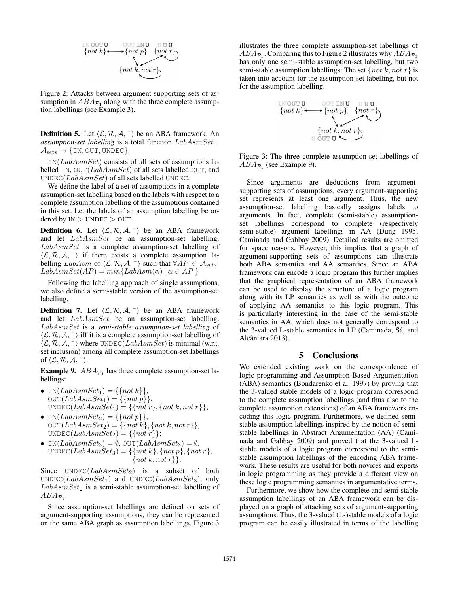$$
\begin{array}{ccc}\n\text{IN OUT U} & \text{OUT INU} & \text{UUU} \\
\{\text{not } k\} & \{\text{not } p\} & \{\text{not } r\} \\
\{\text{not } k, \text{not } r\}\n\end{array}
$$

Figure 2: Attacks between argument-supporting sets of assumption in  $ABA_{\mathcal{P}_1}$  along with the three complete assumption labellings (see Example 3).

**Definition 5.** Let  $\langle \mathcal{L}, \mathcal{R}, \mathcal{A}, \cdot \rangle$  be an ABA framework. An *assumption-set labelling* is a total function LabAsmSet :  $\mathcal{A}_{sets} \rightarrow \{IN, OUT, UNDER\}.$ 

 $IN(LabAsmSet)$  consists of all sets of assumptions labelled IN,  $OUT(LabAsmSet)$  of all sets labelled OUT, and UNDEC( $LabAsmSet$ ) of all sets labelled UNDEC.

We define the label of a set of assumptions in a complete assumption-set labelling based on the labels with respect to a complete assumption labelling of the assumptions contained in this set. Let the labels of an assumption labelling be ordered by  $IN > UNDEC > OUT$ .

**Definition 6.** Let  $\langle \mathcal{L}, \mathcal{R}, \mathcal{A}, \cdot \rangle$  be an ABA framework and let  $LabAsmSet$  be an assumption-set labelling. LabAsmSet is a complete assumption-set labelling of  $\langle \mathcal{L}, \mathcal{R}, \mathcal{A}, \cdot \rangle$  if there exists a complete assumption labelling LabAsm of  $\langle \mathcal{L}, \mathcal{R}, \mathcal{A}, \overline{\ } \rangle$  such that  $\forall AP \in \mathcal{A}_{sets}$ :  $LabAsmSet(AP) = min{LabAsm(\alpha) | \alpha \in AP}$ 

Following the labelling approach of single assumptions, we also define a semi-stable version of the assumption-set labelling.

**Definition 7.** Let  $\langle \mathcal{L}, \mathcal{R}, \mathcal{A}, \cdot \rangle$  be an ABA framework and let LabAsmSet be an assumption-set labelling. LabAsmSet is a *semi-stable assumption-set labelling* of  $\langle \mathcal{L}, \mathcal{R}, \mathcal{A}, \neg \rangle$  iff it is a complete assumption-set labelling of  $\langle \mathcal{L}, \mathcal{R}, \mathcal{A}, \neg \rangle$  where UNDEC(LabAsmSet) is minimal (w.r.t. set inclusion) among all complete assumption-set labellings of  $\langle \mathcal{L}, \mathcal{R}, \mathcal{A}, \neg \rangle$ .

**Example 9.**  $ABA_{\mathcal{P}_1}$  has three complete assumption-set labellings:

- IN( $LabAsmSet_1$ ) = {{not k}},  $\text{OUT}(LabAsmSet_1) = \{\{not\} \},\$ UNDEC( $LabAsmSet_1$ ) = {{not r}, {not k, not r}};
- IN( $LabAsmSet_2$ ) = {{not p}},  $\text{OUT}(LabAsmSet_2) = \{\{not\ k\}, \{not\ k, not\ r\}\},$  $\text{UNDEC}(LabAsmSet_2) = \{\{not\}: \}$
- IN( $LabAsmSet_3$ ) = Ø, OUT( $LabAsmSet_3$ ) = Ø, UNDEC(LabAsmSet<sub>3</sub>) = {{not k}, {not p}, {not r}, {not k, not r} $\}.$

Since  $UNDEC(LabAsmSet_2)$  is a subset of both UNDEC( $LabAsmSet_1$ ) and UNDEC( $LabAsmSet_3$ ), only  $LabAsmSet_2$  is a semi-stable assumption-set labelling of  $ABA_{\mathcal{P}_1}.$ 

Since assumption-set labellings are defined on sets of argument-supporting assumptions, they can be represented on the same ABA graph as assumption labellings. Figure 3

illustrates the three complete assumption-set labellings of  $ABA_{\mathcal{P}_1}$ . Comparing this to Figure 2 illustrates why  $ABA_{\mathcal{P}_1}$ has only one semi-stable assumption-set labelling, but two semi-stable assumption labellings: The set  $\{not k, not r\}$  is taken into account for the assumption-set labelling, but not for the assumption labelling.

$$
\begin{array}{ccc}\n\text{IN OUT U} & \text{OUT INU} & \text{UU U} \\
\{\text{not } k\} & \{\text{not } p\} & \{\text{not } r\} \\
& & \{\text{not } k, \text{not } r\} \\
& & \text{U OUT U}\n\end{array}
$$

Figure 3: The three complete assumption-set labellings of  $ABA_{\mathcal{P}_1}$  (see Example 9).

Since arguments are deductions from argumentsupporting sets of assumptions, every argument-supporting set represents at least one argument. Thus, the new assumption-set labelling basically assigns labels to arguments. In fact, complete (semi-stable) assumptionset labellings correspond to complete (respectively semi-stable) argument labellings in AA (Dung 1995; Caminada and Gabbay 2009). Detailed results are omitted for space reasons. However, this implies that a graph of argument-supporting sets of assumptions can illustrate both ABA semantics and AA semantics. Since an ABA framework can encode a logic program this further implies that the graphical representation of an ABA framework can be used to display the structure of a logic program along with its LP semantics as well as with the outcome of applying AA semantics to this logic program. This is particularly interesting in the case of the semi-stable semantics in AA, which does not generally correspond to the 3-valued L-stable semantics in LP (Caminada, Sá, and Alcântara 2013).

#### 5 Conclusions

We extended existing work on the correspondence of logic programming and Assumption-Based Argumentation (ABA) semantics (Bondarenko et al. 1997) by proving that the 3-valued stable models of a logic program correspond to the complete assumption labellings (and thus also to the complete assumption extensions) of an ABA framework encoding this logic program. Furthermore, we defined semistable assumption labellings inspired by the notion of semistable labellings in Abstract Argumentation (AA) (Caminada and Gabbay 2009) and proved that the 3-valued Lstable models of a logic program correspond to the semistable assumption labellings of the encoding ABA framework. These results are useful for both novices and experts in logic programming as they provide a different view on these logic programming semantics in argumentative terms.

Furthermore, we show how the complete and semi-stable assumption labellings of an ABA framework can be displayed on a graph of attacking sets of argument-supporting assumptions. Thus, the 3-valued (L-)stable models of a logic program can be easily illustrated in terms of the labelling